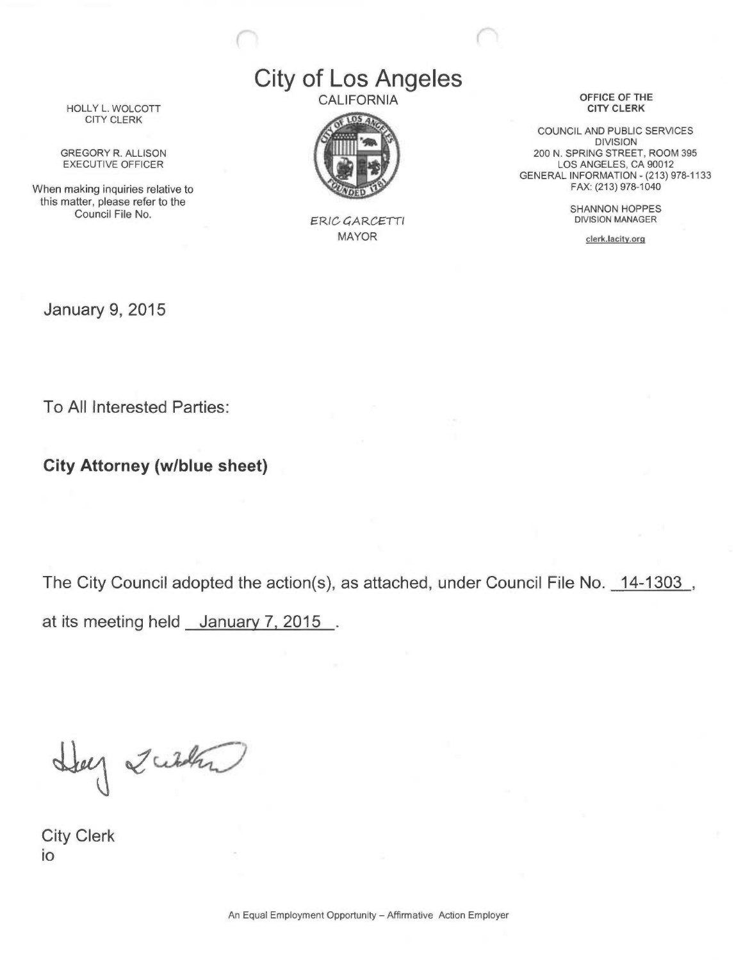## City of Los Angeles **CALIFORNIA**



FRIG GARGETTI MAYOR

OFFICE OF THE CITY CLERK

COUNCIL AND PUBLIC SERVICES DIVISION 200 N. SPRING STREET, ROOM 395 LOS ANGELES, CA 90012 GENERAL INFORMATION - (213) 978-1133 FAX: (213) 978-1040

> SHANNON HOPPES DIVISION MANAGER

> > clerk.lacity.orq

HOLLY L. WOLCOTT CITY CLERK

GREGORY R. ALLISON EXECUTIVE OFFICER

When making inquiries relative to this matter, please refer to the Council File No.

January 9, 2015

To All Interested Parties:

City Attorney (w/blue sheet)

The City Council adopted the action(s), as attached, under Council File No. 14-1303, at its meeting held January 7, 2015 .

Help 2 with

City Clerk io